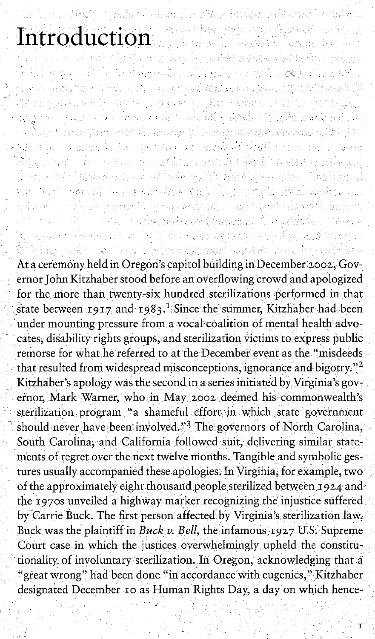ander dens en de college (notien delle consolatoristice) Introduction a comparation of the second state of the second state of the second state of the second state of the second state  $\mathcal{L}$ an di basang makhir melawangan di melangan sempatan di mengangkan di kel sa komunistise ole se tomatum segunakan komunistise kalendaru gayan komunistise komunistise kalendaru .<br>Okona vyhava v kolo ja se oli vandantse baskandes dana katolik (kots aasv us. Den til spoletiska en letalistiskom moderalega i letaliska skapa skapa blike (f. 1 .<br>โลก อิสลาร์อมได้ครับ ในประมาณตัวได้เพราะ และสต์ที่ใช้เข้าอิสต์ที่ที่ที่ทาง เหล่ารถ ใส่ละค ใช้คุณ กิจและกิจ เพื่อ ความความความสองและน้ำ (เช่น รับไซน์ ความสิ่งไม่ กิจใจ คุณสมารถในได้ และคริ short with this magnetic temperature is the selection of the time of the state of นสถาบันเก่า แต่ล่ะเลย เน้น (บลุกสามเหม่อง) (เขา) แต่ใช้น้ำไม่ เข้าไม่ (เป็นเขา) ล่ะเป็นเป็นเป็นเป็น and work of the fact on complete provided and the species of the fact of the fact of นที่ 19 กันยายนี้ 1 กันยายนาม 2 กันยายนาม 2 กันยายนาม 2 กันยายนาม 2 กันยายนาม 2 กันยายนาม 2 กันยายนาม 2 กันยาย ในการประจำ หรับ คองที่จะ การ แทนทั้งก่อน เพิ่มโดยตัวกัน ผลไว้ในเวลา คน ที่ได้มีคิดเหล่ะตัดใจ ปาร์ตน This happing and go a bind por advance restriction in conduction

At a ceremony held in Oregon's capitol building in December 2002, Governor John Kitzhaber stood before an overflowing crowd and apologized for the more than twenty-six hundred sterilizations performed in that state between 1917 and 1983.<sup>1</sup> Since the summer, Kitzhaber had been under mounting pressure from a vocal coalition of mental health advocates, disability rights groups, and sterilization victims to express public remorse for what he referred to at the December event as the "misdeeds that resulted from widespread misconceptions, ignorance and bigotry."<sup>2</sup> Kitzhaber's apology was the second in a series initiated by Virginia's governor, Mark Warner, who in May 2002 deemed his commonwealth's sterilization program "a shameful effort, in which state government should never have been involved."<sup>3</sup> The governors of North Carolina, South Carolina, and California followed suit, delivering similar statements of regret over the next twelve months. Tangible and symbolic gestures usually accompanied these apologies. In Virginia, for example, two of the approximately eight thousand people sterilized between 1924 and the 1970s unveiled a highway marker recognizing the injustice suffered by Carrie Buck. The first person affected by Virginia's sterilization law, Buck was the plaintiff in *Buck v. Bell,* the infamous 1927 U.S. Supreme Court case in which the justices overwhelmingly upheld the constitutionality of involuntary sterilization. In Oregon, acknowledging that a "great wrong" had been done "in accordance with eugenics," Kitzhaber designated December 10 as Human Rights Day, a day on which hence-

1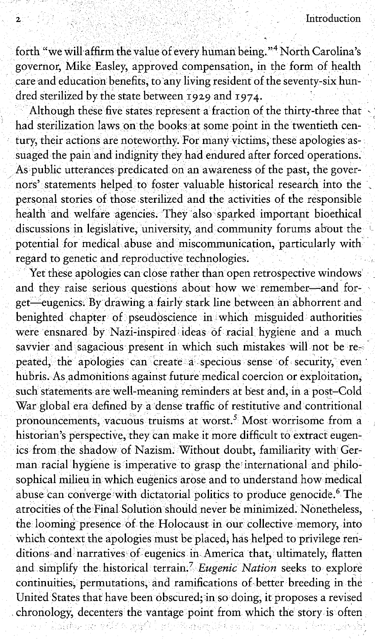forth "we will affirm the value of every human being."<sup>4</sup> North Carolina's governor, Mike Easley, approved compensation, in the form of health care and education benefits, to any living resident of the seventy-six hundred sterilized by the state between 1929 and 1974.

Although these five states represent a fraction of the thirty-three that had sterilization laws on the books at some point in the twentieth century, their actions are noteworthy. For many victims, these apologies assuaged the pain and indignity they had endured after forced operations. As public utterances predicated on an awareness of the past, the governors' statements helped to foster valuable historical research into the \ personal stories of those sterilized and the activities of the responsible health and welfare agencies. They also sparked important bioethical discussions in legislative, university, and community forums about the potential for medical abuse and miscommunication, particularly with regard to genetic and reproductive technologies.

Yet these apologies can close rather than open retrospective windows and they raise serious questions about how we remember—and for- ^ get—eugenics. By drawing a fairly stark line between an abhorrent and benighted chapter of pseudoscience in which misguided authorities were ensnared by Nazi-inspired ideas of racial hygiene and a much savvier and sagacious present in which such mistakes will not be repeated, the apologies can create a specious sense of security, even hubris. As admonitions against future medical coercion or exploitation, such statements are well-meaning reminders at best and, in a post-Cold War global era defined by a dense traffic of restitutive and contritional pronouncements, vacuous truisms at worst.<sup>5</sup> Most worrisome from a historian's perspective, they can make it more difficult to extract eugenics from the shadow of Nazism. Without doubt, familiarity with German racial hygiene is imperative to grasp the international and philosophical milieu in which eugenics arose and to understand how medical abuse can converge with dictatorial politics to produce genocide.<sup>6</sup> The atrocities of the Final Solution should never be minimized. Nonetheless, the looming presence of the Holocaust in our collective memory, into which context the apologies must be placed, has helped to privilege renditions and narratives of eugenics in America that, ultimately, flatten and simplify the historical terrain.<sup>7</sup>  *Eugenic Nation* seeks to explore continuities, permutations^ and ramifications of better breeding in the United States that have been obscured; in so doing, it proposes a revised , chronology, decenters the vantage point from which the story is often Dafeko de Vetro desfini

교실 문의 사고

 $\tilde{2}$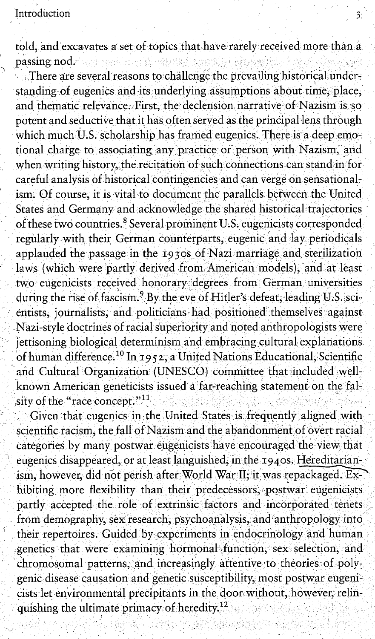told, and excavates a set of topics that have rarely received more than a passing nod.<sup>2</sup> was contained to the contact of the contact of

There are several reasons to challenge the prevailing historical understanding of eugenics and its underlying assumptions about time, place, and thematic relevance. First, the declension narrative of Nazism is so potent and seductive that it has often served as the principal lens through which much U.S. scholarship has framed eugenics. There is a deep emotional charge to associating any practice or person with Nazism, and when writing history, the recitation of such connections can stand in for careful analysis of historical contingencies and can verge on sensationalism. Of course, it is vital to document the parallels between the United States and Germany and acknowledge the shared historical trajectories of these two countries.<sup>8</sup> Several prominent U.S. eugenicists corresponded regularly with their German counterparts, eugenic and lay periodicals applauded the passage in the 1930s of Nazi marriage and sterilization laws (which were partly derived from American models), and at least two eugenicists received honorary degrees from German universities during the rise of fascism.<sup>9</sup> By the eve of Hitler's defeat, leading U.S. scientists, journalists, and politicians had positioned themselves against Nazi-style doctrines of racial superiority and noted anthropologists were jettisoning biological determinism and embracing cultural explanations of human difference.<sup>10</sup> In 1952, a United Nations Educational, Scientific and Cultural Organization (UNESCO) committee that included wellknown American geneticists issued a far-reaching statement on the falsity of the "race concept."<sup>11</sup> a Karajetana Kabupatén Religion

Given that eugenics in the United States is frequently aligned with scientific racism, the fall of Nazism and the abandonment of overt racial categories by many postwar eugenicists have encouraged the view that eugenics disappeared, or at least languished, in the 1940s. Hereditarianism, however, did not perish after World War II; it was repackaged.  $\overline{\text{Ex}}$ hibiting more flexibility than their predecessors, postwar eugenicists partly accepted the role of extrinsic factors and incorporated tenets from demography, sex research, psychoanalysis, and anthropology into their repertoires. Guided by experiments in endocrinology and human ^genetics that were examining hormonal function, sex selection, and chromosomal patterns, and increasingly attentive to theories of polygenic disease causation and genetic susceptibility, most postwar eugenicists let environmental precipitants in the door without, however, relinquishing the ultimate primacy of heredity.<sup>12</sup>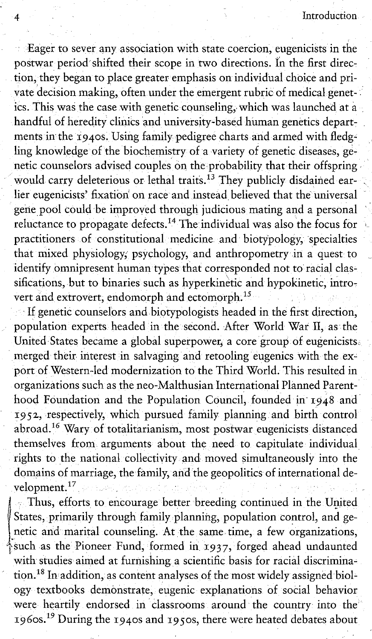Eager to sever any association with state coercion, eugenicists in the postwar period shifted their scope in two directions. In the first direction, they began to place greater emphasis on individual choice and private decision making, often under the emergent rubric of medical genet- • ics. This was the case with genetic counseling, which was launched at a handful of heredity clinics and university-based human genetics departments in the 1940s. Using family pedigree charts and armed with fledgling knowledge of the biochemistry of a variety of genetic diseases, genetic counselors advised couples on the probability that their offspring would carry deleterious or lethal traits.<sup>13</sup> They publicly disdained earlier eugenicists' fixation on race and instead believed that the universal gene pool could be improved through judicious mating and a personal reluctance to propagate defects.<sup>14</sup> The individual was also the focus for practitioners of constitutional medicine and biotypology, specialties that mixed physiology, psychology, and anthropometry in a quest to identify omnipresent human types that corresponded not to racial classifications, but to binaries such as hyperkinetic and hypokinetic, introvert and extrovert, endomorph and ectomorph.<sup>15</sup> in du 193

If genetic counselors and biotypologists headed in the first direction, population experts headed in the second. After World War II, as the United States became a global superpower, a core group of eugenicists merged their interest in salvaging and retooling eugenics with the export of Western-led modernization to the Third World. This resulted in organizations such as the neo-Malthusian International Planned Parenthood Foundation and the Population Council, founded in 1948 and 1952, respectively, which pursued family planning and birth control abroad.<sup>16</sup> Wary of totalitarianism, most postwar eugenicists distanced themselves from arguments about the need to capitulate individual rights to the national collectivity and moved simultaneously into the domains of marriage, the family, and the geopolitics of international development.<sup>17</sup>

Thus, efforts to encourage better breeding continued in the United .<br>Ser States, primarily through family planning, population control, and genetic and marital counseling. At the same time, a few organizations, such as the Pioneer Fund, formed in 1937, forged ahead undaunted with studies aimed at furnishing a scientific basis for racial discrimination.<sup>18</sup> In addition, as content analyses of the most widely assigned biology textbooks demonstrate, eugenic explanations of social behavior were heartily endorsed in classrooms around the country into the 1960s.<sup>19</sup> During the 1940s and 1950s, there were heated debates about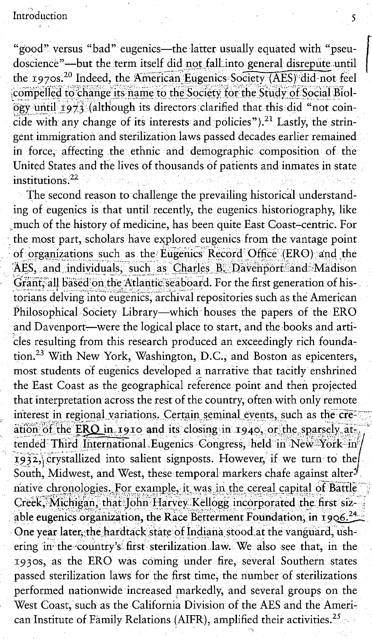## Introduction 2.5 and 2.5 and 2.5 and 2.5 and 2.5 and 2.5 and 2.5 and 2.5 and 2.5 and 2.5 and 2.5 and 2.5 and 2.5 and 2.5 and 2.5 and 2.5 and 2.5 and 2.6 and 2.5 and 2.6 and 2.6 and 2.6 and 2.6 and 2.6 and 2.6 and 2.6 and 2

"good" versus "bad" eugenics—the latter usually equated with "pseudoscience"—but the term itself did not fall into general disrepute until the 1970s. 20 Indeed, the American Eugenics Society (AES) did not feel ^compelled to change its name to the Society for the Study of Social Biol- $\frac{\partial g}{\partial x}$  until 1973 (although its directors clarified that this did "not coincide with any change of its interests and policies").<sup>21</sup> Lastly, the stringent immigration and sterilization laws passed decades earlier remained in force, affecting the ethnic and demographic composition of the United States and the lives of thousands of patients and inmates in state institutions.<sup>22</sup>

The second reason to challenge the prevailing historical understanding of eugenics is that until recently, the eugenics historiography, like much of the history of medicine, has been quite East Coast-centric. For the most part, scholars have explored eugenics from the vantage point of organizations such as the Eugenics Record Office (ERO) and the AES, and individuals, such as Charles B. Davenport and Madison Grant, all based'on the Atlantic seaboard. For the first generation of historians delving into eugenics; archival repositories such as the American Philosophical Society Library—which houses the papers of the ERO and Davenport—were the logical place to start, and the books and articles resulting from this research produced an exceedingly rich foundation.<sup>23</sup> With New York, Washington, D.C., and Boston as epicenters, most students of eugenics developed a narrative that tacitly enshrined the East Coast as the geographical reference point and then projected that interpretation across the rest of the country, often with only remote interest in regional variations. Certain seminal events, such as the creation of the ERQ in 1910 and its closing in 1940, or the sparsely attended Third International Eugenics Congress, held in New York in / 1932, crystallized into salient signposts. However, if we turn to the South, Midwest, and West, these temporal markers chafe against alter<sup>y</sup> native chronologies. For example, it was in the cereal capital of Battle Creek, Michigan, that John Harvey Kellogg incorporated the first sizable eugenics organization, the Race Betterment Foundation, in  $1906.<sup>24</sup>$ One year later, the hardtack state of Indiana stood at the vanguard, ushering in\* the country's first sterilization law. We also see that, in the 1930s, as the ERO was coming under fire, several Southern states passed sterilization laws for the first time, the number of sterilizations performed nationwide increased markedly, and several groups on the West Coast, such as the California Division of the AES and the American Institute of Family Relations (AIFR), amplified their activities.<sup>25</sup>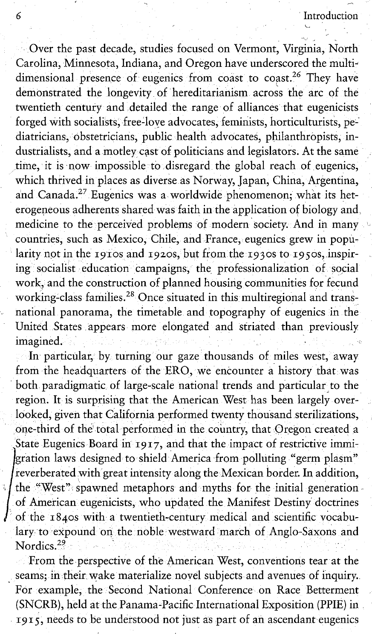Over the past decade, studies focused on Vermont, Virginia, North Carolina, Minnesota, Indiana, and Oregon have underscored the multidimensional presence of eugenics from coast to coast.<sup>26</sup> They have demonstrated the longevity of hereditarianism across the arc of the twentieth century and detailed the range of alliances that eugenicists forged with socialists, free-love advocates, feminists, horticulturists, pe L diatricians, obstetricians, public health advocates, philanthropists, industrialists, and a motley cast of politicians and legislators. At the same time, it is now impossible to disregard the global reach of eugenics, which thrived in places as diverse as Norway, Japan, China, Argentina, and Canada.<sup>27</sup> Eugenics was a worldwide phenomenon; what its heterogeneous adherents shared was faith in the application of biology and, medicine to the perceived problems of modern society. And in many countries, such as Mexico, Chile, and France, eugenics grew in popularity not in the 1910s and 1920s, but from the 1930s to 1950s, inspiring socialist education campaigns, the professionalization of social work, and the construction of planned housing communities for fecund working-class families.<sup>28</sup> Once situated in this multiregional and transnational panorama, the timetable and topography of eugenics in the United States appears more elongated and striated than previously imagined.

6

In particular, by turning our gaze thousands of miles west, away from the headquarters of the ERO, we encounter a history that was both paradigmatic of large-scale national trends and particular to the region. It is surprising that the American West has been largely overlooked, given that California performed twenty thousand sterilizations, one-third of the total performed in the country, that Oregon created a State Eugenics Board in 1917, and that the impact of restrictive immi-Igration laws designed to shield America from polluting "germ plasm" reverberated with great intensity along the Mexican border. In addition, the "West" spawned metaphors and myths for the initial generation of American eugenicists, who updated the Manifest Destiny doctrines of the 1840s with a twentieth-century medical and scientific vocabulary to expound on the noble westward march of Anglo-Saxons and Nordics.<sup>29</sup>

From the perspective of the American West, conventions tear at the seams; in their wake materialize novel subjects and avenues of inquiry. For example, the Second National Conference on Race Betterment (SNCRB), held at the Panama-Pacific International Exposition (PPIE) in 1915, needs to be understood not just as part of an ascendant eugenics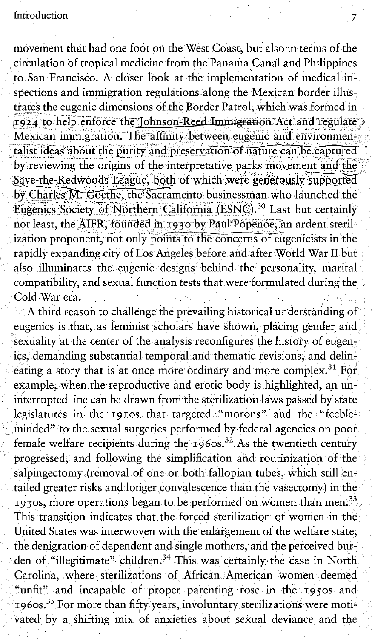movement that had one foot on the West Coast, but also in terms of the circulation of tropical medicine from the Panama Canal and Philippines to San Francisco. A closer look at the implementation of medical inspections and immigration regulations; along the Mexican border illustrates the eugenic dimensions of the Border Patrol^ which was formed in  $1924$  to help enforce the Johnson-Reed-Immigration Act and regulate Mexican immigration." The affinity between eugenic and environmen talist ideas about the purity and preservation of nature can be captured by reviewing the origins of the interpretative parks movement and the Save-the-Redwoods League, both of which were generously supported by Charles M. Goethe, the Sacramento businessman who launched the Eugenics Society of Northern California (ESNC).<sup>30</sup> Last but certainly not least, the AIFR, founded in 1930 by Paul Popenoe, an ardent sterilization proponent, not only points to the concerns of eugenicists in the rapidly expanding city of Los Angeles before and after World War II but also illuminates the eugenic designs behind the personality, marital compatibility, and sexual function tests that were formulated during the Cold War era. te ollerlagst fehr sprintler وأعيرهم وتناووه

A third reason to challenge the prevailing historical understanding of eugenics is that, as feminist scholars have shown, placing gender and sexuality at the center of the analysis reconfigures the history of eugenics, demanding substantial temporal and thematic revisions, and delineating a story that is at once more ordinary and more complex.<sup>31</sup> For example, when the reproductive and erotic body is highlighted, an uninterrupted line can be drawn from the sterilization laws passed by state legislatures in the 1910s that targeted "morons" and the "feebleminded" to the sexual surgeries performed by federal agencies on poor female welfare recipients during the 1960s.<sup>32</sup> As the twentieth century progressed, and following the simplification and routinization of the salpingectomy (removal of one or both fallopian tubes, which still entailed greater risks and longer convalescence than the vasectomy) in the 1930s, more operations began to be performed on women than men. 33 This transition indicates that the forced sterilization of women in the United States was interwoven with the enlargement of the welfare state, the denigration of dependent and single mothers, and the perceived burden of "illegitimate" children.<sup>34</sup> This was certainly the case in North Carolina, where ; sterilizations of African ; American women deemed "unfit" and incapable of proper parenting rose in the 1950s and 1960s.<sup>35</sup> For more than fifty years, involuntary sterilizations were motivated by a shifting mix of anxieties about sexual deviance and the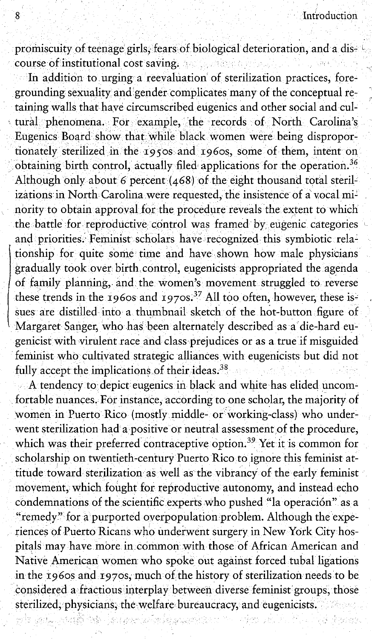promiscuity of teenage girls, fears of biological deterioration, and a dis- 1 course of institutional cost saving.

In addition to urging a reevaluation of sterilization practices, foregrounding sexuality and gender complicates many of the conceptual retaining walls that have circumscribed eugenics and other social and cultural phenomena. For example, the records of North Carolina's Eugenics Board show that while black women were being disproportionately sterilized in the 1950s and 1960s, some of them, intent on obtaining birth control, actually filed applications for the operation.<sup>36</sup> Although only about 6 percent (468) of the eight thousand total sterilizations in North Carolina were requested, the insistence of a vocal minority to obtain approval for the procedure reveals the extent to which the battle for reproductive control was framed by eugenic categories and priorities. Feminist scholars have recognized this symbiotic relationship for quite some time and have shown how male physicians gradually took over birth control, eugenicists appropriated the agenda of family planning, and the women's movement struggled to reverse these trends in the 1960s and 1970s.<sup>37</sup> All too often, however, these issues are distilled into a thumbnail sketch of the hot-button figure of ^ Margaret Sanger, who has been alternately described as a die-hard eugenicist with virulent race and class prejudices or as a true if misguided feminist who cultivated strategic alliances with eugenicists but did not fully accept the implications of their ideas.<sup>38</sup>

A tendency to depict eugenics in black and white has elided uncomfortable nuances. For instance, according to one scholar, the majority of women in Puerto Rico (mostly middle- or working-class) who underwent sterilization had a positive or neutral assessment of the procedure, which was their preferred contraceptive option.<sup>39</sup> Yet it is common for scholarship on twentieth-century Puerto Rico to ignore this feminist attitude toward sterilization as well as the vibrancy of the early feminist movement, which fought for reproductive autonomy, and instead echo condemnations of the scientific experts who pushed "la operacion" as a "remedy" for a purported overpopulation problem. Although the experiences of Puerto Ricans who underwent surgery in New York City hospitals may have more in common with those of African American and Native American women who spoke out against forced tubal ligations in the 1960s and 1970s, much of the history of sterilization needs to be considered a fractious interplay between diverse feminist groups, those sterilized, physicians, the welfare bureaucracy, and eugenicists.

งก่อ จัดนี้ เคยกล้า จัดลิ และเจ้าหน้าใจเรื่องแรกที่ที่ควา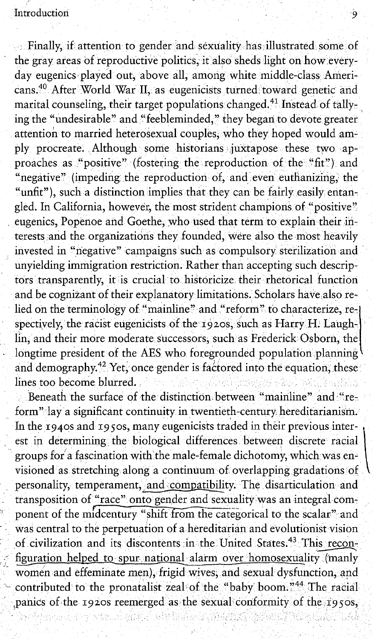Finally, if attention to gender and sexuality has illustrated some of the gray areas of reproductive politics, it also sheds light on how everyday eugenics played out, above all, among white middle-class Americans. 40 After World War II, as eugenicists turned toward genetic and marital counseling, their target populations changed.<sup>41</sup> Instead of tallying the "undesirable" and "feebleminded," they began to devote greater attention to married heterosexual couples, who they hoped would amply procreate. Although some historians juxtapose these two approaches as "positive" (fostering the reproduction of the "fit") and "negative" (impeding the reproduction of, and even euthanizing, the "unfit"), such a distinction implies that they can be fairly easily entangled. In California, however, the most strident champions of "positive" eugenics, Popenoe and Goethe, who used that term to explain their interests and the organizations they founded, were also the most heavily invested in "negative" campaigns such as compulsory sterilization and unyielding immigration restriction. Rather than accepting such descriptors transparently, it is crucial to historicize their rhetorical function and be cognizant of their explanatory limitations. Scholars have also relied on the terminology of "mainline" and "reform" to characterize, respectively, the racist eugenicists of the 1920s, such as Harry H. Laughlin, and their more moderate successors, such as Frederick Osborn, the longtime president of the AES who foregrounded population planning and demography.<sup>42</sup> Yet, once gender is factored into the equation, these lines too become blurred. ati ta Akadémitiki Séri Wéri Minis

9

Beneath the surface of the distinction between "mainline" and "reform" lay a significant continuity in twentieth-century hereditarianism. In the 1940s and 1950s, many eugenicists traded in their previous interest in determining the biological differences between discrete racial groups for a fascination with the male-female dichotomy, which was envisioned as stretching along a continuum of overlapping gradations of personality, temperament, and compatibility. The disarticulation and transposition of "race" onto gender and sexuality was an integral component of the midcentury "shift from the categorical to the scalar" and was central to the perpetuation of a hereditarian and evolutionist vision of civilization and its discontents in the United States.<sup>43</sup> This reconfiguration helped to spur national alarm over homosexuality (manly women and effeminate men), frigid wives, and sexual dysfunction, and contributed to the pronatalist zeal of the "baby boom."<sup>44</sup> The racial panics of the 1920s reemerged as the sexual conformity of the 1950s,

net to the hold with this hold with the state of the hold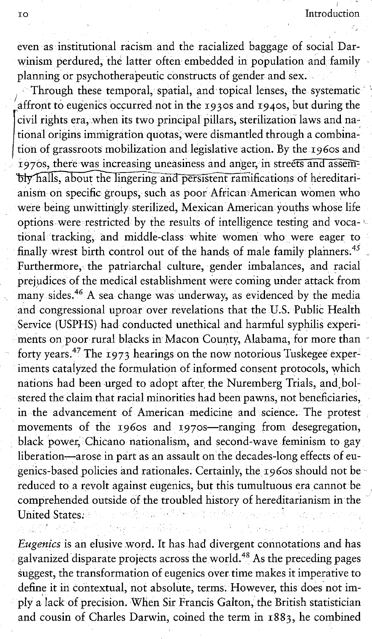even as institutional racism and the racialized baggage of social Darwinism perdured, the latter often embedded in population and family planning or psychotherapeutic constructs of gender and sex.

Through these temporal, spatial, and topical lenses, the systematic affront to eugenics occurred not in the 1930s and 1940s, but during the civil rights era, when its two principal pillars, sterilization laws and national origins immigration quotas, were dismantled through a combination of grassroots mobilization and legislative action. By the 1960s and 1970s, there was increasing uneasiness and anger, in streets and assem^ bly halls, about the lingering and persistent ramifications of hereditarianism on specific groups, such as poor African American women who were being unwittingly sterilized, Mexican American youths whose life options were restricted by the results of intelligence testing and vocational tracking, and middle-class white women who were eager to finally wrest birth control out of the hands of male family planners.<sup>45</sup> Furthermore, the patriarchal culture, gender imbalances, and racial prejudices of the medical establishment were coming under attack from many sides.<sup>46</sup> A sea change was underway, as evidenced by the media and congressional uproar over revelations that the U.S. Public Health Service (USPHS) had conducted unethical and harmful syphilis experiments on poor rural blacks in Macon County, Alabama, for more than forty years. 47 The 1973 hearings on the now notorious Tuskegee experiments catalyzed the formulation of informed consent protocols, which nations had been urged to adopt after the Nuremberg Trials, and bolstered the claim that racial minorities had been pawns, not beneficiaries, in the advancement of American medicine and science. The protest movements of the 1960s and 1970s—ranging from desegregation, black power, Chicano nationalism, and second-wave feminism to gay liberation—arose in part as an assault on the decades-long effects of eugenics-based policies and rationales. Certainly, the 1960s should not be reduced to a revolt against eugenics, but this tumultuous era cannot be comprehended outside of the troubled history of hereditarianism in the United States.

*Eugenics* is an elusive word. It has had divergent connotations and has galvanized disparate projects across the world.<sup>48</sup> As the preceding pages suggest, the transformation of eugenics over time makes it imperative to define it in contextual, not absolute, terms. However, this does not imply a lack of precision. When Sir Francis Galton, the British statistician and cousin of Charles Darwin, coined the term in 1883, he combined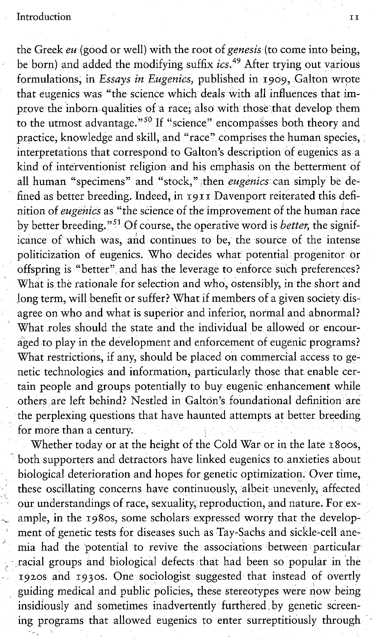the Greek *eu* (good or well) with the root of *genesis {to* come into being, be born) and added the modifying suffix *ics.<sup>49</sup>* After trying out various formulations, in *Essays in Eugenics,* published in 1909, Galton wrote that eugenics was "the science which deals with all influences that improve the inborn qualities of a race; also with those that develop them to the utmost advantage."<sup>50</sup> If "science" encompasses both theory and practice, knowledge and skill, and "race" comprises the human species, interpretations that correspond to Galton's description of eugenics as a kind of interventionist religion and his emphasis on the betterment of all human "specimens" and "stock," then *eugenics* can simply be defined as better breeding. Indeed, in 1911 Davenport reiterated this definition of *eugenics* as "the science of the improvement of the human race by better breeding."<sup>51</sup> Of course, the operative word is *better,* the significance of which was, arid continues to be, the source of the intense politicization of eugenics. Who decides what potential progenitor or offspring is "better" and has the leverage to enforce such preferences? What is the rationale for selection and who, ostensibly, in the short and long term, will benefit or suffer? What if members of a given society disagree on who and what is superior and inferior, normal and abnormal? What roles should the state and the individual be allowed or encouraged to play in the development and enforcement of eugenic programs? What restrictions, if any, should be placed on commercial access to genetic technologies and information, particularly those that enable certain people and groups potentially to buy eugenic enhancement while others are left behind? Nestled in Galton's foundational definition are the perplexing questions that have haunted attempts at better breeding for more than a century.

Whether today or at the height of the Cold War or in the late 1800s, both supporters and detractors have linked eugenics to anxieties about biological deterioration and hopes for genetic optimization. Over time, these oscillating concerns have continuously, albeit unevenly, affected our understandings of race, sexuality, reproduction, and nature. For example, in the 1980s, some scholars expressed worry that the development of genetic tests for diseases such as Tay-Sachs and sickle-cell anemia had the potential to revive the associations between particular racial groups and biological defects that had been so popular in the 1920s and 1930s. One sociologist suggested that instead of overtly guiding medical and public policies, these stereotypes were now being insidiously and sometimes inadvertently furthered by genetic screening programs that allowed eugenics to enter surreptitiously through

II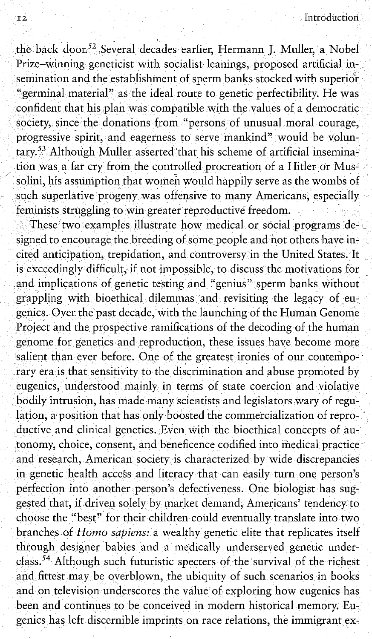#### 12 Introduction 2.5

the back door.<sup>52</sup> Several decades earlier, Hermann J. Muller, a Nobel Prize-winning geneticist with socialist leanings, proposed artificial insemination and the establishment of sperm banks stocked with superior "germinal material" as the ideal route to genetic perfectibility. He was confident that his plan was compatible with the values of a democratic society, since the donations from "persons of unusual moral courage, progressive spirit, and eagerness to serve mankind" would be voluntary.<sup>53</sup> Although Muller asserted that his scheme of artificial insemination was a far cry from the controlled procreation of a Hitler or Mussolini, his assumption that women would happily serve as the wombs of such superlative progeny was offensive to many Americans, especially feminists struggling to win greater reproductive freedom.

These two examples illustrate how medical or social programs designed to encourage the breeding of some people and not others have incited anticipation, trepidation, and controversy in the United States. It is exceedingly difficult, if not impossible, to discuss the motivations for and implications of genetic testing and "genius" sperm banks without grappling with bioethical dilemmas and revisiting the legacy of eugenics. Over the past decade, with the launching of the Human Genome Project and the prospective ramifications of the decoding of the human genome for genetics and reproduction, these issues have become more salient than ever before. One of the greatest ironies of our contemporary era is that sensitivity to the discrimination and abuse promoted by eugenics, understood mainly in terms of state coercion and violative bodily intrusion, has made many scientists and legislators wary of regulation, a position that has only boosted the commercialization of reproductive and clinical genetics.;Even with the bioethical concepts of autonomy, choice, consent, and beneficence codified into medical practice and research, American society is characterized by wide discrepancies in genetic health access and literacy that can easily turn one person's perfection into another person's defectiveness. One biologist has suggested that, if driven solely by market demand, Americans' tendency to choose the "best" for their children could eventually translate into two branches of *Homo sapiens:* a wealthy genetic elite that replicates, itself through designer babies and a medically underserved genetic underclass.<sup>54</sup> Although such futuristic specters of the survival of the richest and fittest may be overblown, the ubiquity of such scenarios in books and on television underscores the value of exploring how eugenics has been and continues to be conceived in modern historical memory. Eugenics has left discernible imprints on race relations, the immigrant ex-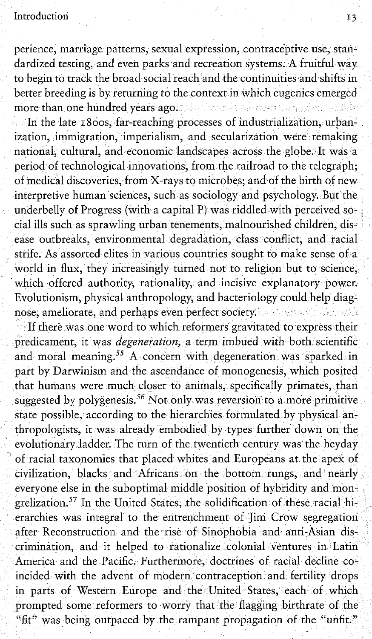## Introduction 2.5 and 2.5 and 2.5 and 2.5 and 2.5 and 2.5 and 2.5 and 2.5 and 2.5 and 2.5 and 2.5 and 2.5 and 2.5 and 2.5 and 2.5 and 2.5 and 2.5 and 2.5 and 2.5 and 2.5 and 2.5 and 2.5 and 2.5 and 2.5 and 2.5 and 2.5 and 2

perience, marriage patterns, sexual expression, contraceptive use, standardized testing, and even parks and recreation systems. A fruitful way to begin to track the broad social reach and the continuities andshifts in better breeding is by returning to the context in which eugenics emerged more than one hundred years ago. The manufacture of the second states of the second

In the late 1800s, far-reaching processes of industrialization, urbanization, immigration, imperialism, and secularization were remaking national, cultural, and economic landscapes across the globe. It was a period of technological innovations, from the railroad to the telegraph; of medical discoveries, from X-rays to microbes; and of the birth of new interpretive human sciences, such as sociology and psychology. But the underbelly of Progress (with a capital P) was riddled with perceived social ills such as sprawling urban tenements, malnourished children, disease outbreaks, environmental degradation, class conflict, and racial strife. As assorted elites in various countries sought to make sense of a world in flux, they increasingly turned not to religion but to science, which offered authority, rationality, and incisive explanatory power. Evolutionism, physical anthropology, and bacteriology could help diagnose, ameliorate, and perhaps even perfect society.

If there was one word to which reformers gravitated to express their predicament, it was *degeneration,* a term imbued with both scientific and moral meaning.<sup>55</sup> A concern with degeneration was sparked in part by Darwinism and the ascendance of monogenesis, which posited that humans were much closer to animals, specifically primates, than suggested by polygenesis.<sup>56</sup> Not only was reversion to a more primitive state possible, according to the hierarchies formulated by physical anthropologists, it was already embodied by types further down on the evolutionary ladder. The turn of the twentieth century was the heyday of racial taxonomies that placed whites and Europeans at the apex of civilization, blacks and Africans on the bottom rungs, and nearly everyone else in the suboptimal middle position of hybridity and mongrelization.<sup>57</sup> In the United States, the solidification of these racial hierarchies was integral to the entrenchment of Jim Crow segregation after Reconstruction and the rise of Sinophobia and anti-Asian discrimination, and it helped to rationalize colonial ventures in Latin America and the Pacific; Furthermore, doctrines of racial decline coincided with the advent of modern contraception; and fertility drops in parts of Western Europe and the United States, each of which prompted some reformers to worry that the flagging birthrate of the "fit" was being outpaced by the rampant propagation of the "unfit."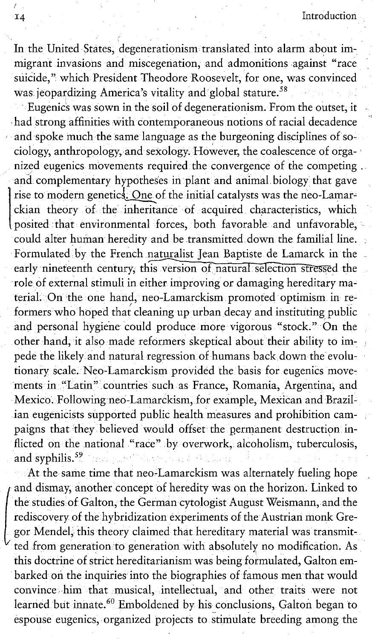In the United States, degenerationism translated into alarm about immigrant invasions and miscegenation, and admonitions against "race suicide," which President Theodore Roosevelt, for one, was convinced was jeopardizing America's vitality and global stature.<sup>58</sup>

Eugenics was sown in the soil of degenerationism. From the outset, it had strong affinities with contemporaneous notions of racial decadence ' and spoke much the same language as the burgeoning disciplines of sociology, anthropology, and sexology. However, the coalescence of organized eugenics movements required the convergence of the competing . and complementary hypotheses in plant and animal biology that gave rise to modern genetics. One of the initial catalysts was the neo-Lamarckian theory of the inheritance of acquired characteristics, which posited that environmental forces, both favorable and unfavorable, could alter human heredity and be transmitted down the familial line. Formulated by the French naturalist Jean Baptiste de Lamarck in the early nineteenth century, this version of natural selection stressed the role of external stimuli in either improving or damaging hereditary material. On the one hand, neo-Lamarckism promoted optimism in reformers who hoped that cleaning up urban decay and instituting public and personal hygiene could produce more vigorous "stock." On the other hand, it also made reformers skeptical about their ability to impede the likely and natural regression of humans back down the evolutionary scale. Neo-Lamarckism provided the basis for eugenics movements in "Latin" countries such as France, Romania, Argentina, and Mexico. Following neo-Lamarckism, for example, Mexican and Brazilian eugenicists supported public health measures and prohibition campaigns that they believed would offset the permanent destruction inflicted on the national "race" by overwork, alcoholism, tuberculosis, and syphilis.<sup>59</sup>

At the same time that neo-Lamarckism was alternately fueling hope and dismay, another concept of heredity was on the horizon. Linked to the studies of Galton, the German cytologist August Weismann, and the rediscovery of the hybridization experiments of the Austrian monk Gregor Mendel, this theory claimed that hereditary material was transmitted from generation to generation with absolutely no modification. As this doctrine of strict hereditarianism was being formulated, Galton embarked on the inquiries into the biographies of famous men that would convince: him that musical, intellectual, and other traits were not learned but innate.<sup>60</sup> Emboldened by his conclusions, Galton began to espouse eugenics, organized projects to stimulate breeding among the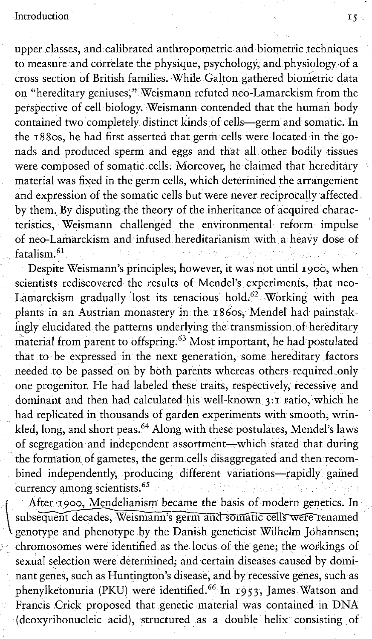## Introduction 2.5 and 2.5 and 2.5 and 2.5 and 2.5 and 2.5 and 2.5 and 2.5 and 2.5 and 2.5 and 2.5 and 2.5 and 2.5 and 2.5 and 2.5 and 2.5 and 2.5 and 2.5 and 2.5 and 2.5 and 2.5 and 2.5 and 2.5 and 2.5 and 2.5 and 2.5 and 2

upper classes, and calibrated anthropometric and biometric techniques to measure and correlate the physique, psychology, and physiology of a cross section of British families. While Galton gathered biometric data on "hereditary geniuses," Weismann refuted neo-Lamarckism from the perspective of cell biology. Weismann contended that the human body contained two completely distinct kinds of cells—germ and somatic. In the 1880s, he had first asserted that germ cells were located in the gonads and produced sperm and eggs and that all other bodily tissues were composed of somatic cells. Moreover, he claimed that hereditary material was fixed in the germ cells, which determined the arrangement and expression of the somatic cells but were never reciprocally affected, by them. By disputing the theory of the inheritance of acquired characteristics, Weismann challenged the environmental reform impulse of neo-Lamarckism and infused hereditarianism with a heavy dose of fatalism.<sup>61</sup>

Despite Weismann's principles, however, it was not until 1900, when scientists rediscovered the results of Mendel's experiments, that neo-Lamarckism gradually lost its tenacious hold.<sup>62</sup> Working with pea plants in an Austrian monastery in the 18 60s, Mendel had painstakingly elucidated the patterns underlying the transmission of hereditary material from parent to offspring.<sup>63</sup> Most important, he had postulated that to be expressed in the next generation, some hereditary factors needed to be passed on by both parents whereas others required only one progenitor. He had labeled these traits, respectively, recessive and dominant and then had calculated his well-known 3:1 ratio, which he had replicated in thousands of garden experiments with smooth, wrinkled, long, and short peas. 64 Along with these postulates, Mendel's laws of segregation and independent assortment—which stated that during the formation of gametes, the germ cells disaggregated and then recombined independently, producing different variations—rapidly gained currency among scientists.<sup>65</sup>

After 1900, Mendelianism became the basis of modern genetics. In subsequent decades, Weismann's germ and somatic cells were renamed genotype and phenotype by the Danish geneticist Wilhelm Johannsen; chromosomes were identified as the locus of the gene; the workings of sexual selection were determined; and certain diseases caused by dominant genes, such as Huntington's disease, and by recessive genes, such as phenylketonuria (PKU) were identified.<sup>66</sup> In 1953, James Watson and Francis Crick proposed that genetic material was contained in DNA (deoxyribonucleic acid), structured as a double helix consisting of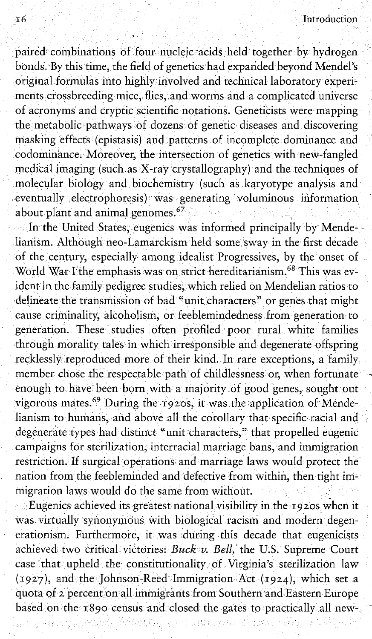#### **16**<sup>2</sup> **1. Introduction**

paired combinations of four nucleic acids held together by hydrogen bonds. By this time, the field of genetics had expanded beyond Mendel's original formulas into highly involved and technical laboratory experiments crossbreeding mice, flies, and worms and a complicated universe of acronyms and cryptic scientific notations. Geneticists were mapping the metabolic pathways of dozens of genetic diseases and discovering masking effects (epistasis) and patterns of incomplete dominance and codominance; Moreover, the intersection of genetics with new-fangled medical imaging (such as X-ray crystallography) and the techniques of molecular biology and biochemistry (such as karyotype analysis and .eventually electrophoresis) was generating voluminous information about plant and animal genomes. 67

In the United States, eugenics was informed principally by Mendelianism. Although neo-Lamarckism held some sway in the first decade of the century, especially among idealist Progressives, by the onset of ~ World War I the emphasis was on strict hereditarianism.<sup>68</sup> This was evident in the family pedigree studies, which relied on Mendelian ratios to delineate the transmission of bad "unit characters" or genes that might cause criminality, alcoholism, or feeblemindedness from generation to generation. These studies often profiled poor rural white families through morality tales in which irresponsible and degenerate offspring recklessly reproduced more of their kind. In rare exceptions, a family member chose the respectable path of childlessness or, when fortunate enough to have been born with a majority of good genes, sought out vigorous mates.<sup>69</sup> During the 1920s, it was the application of Mendelianism to humans, and above all the corollary that specific racial and degenerate types had distinct "unit characters," that propelled eugenic campaigns for sterilization, interracial marriage bans, and immigration restriction. If surgical operations and marriage laws would protect the nation from the feebleminded and defective from within, then tight immigration laws would do the same from without.

Eugenics achieved its greatest national visibility in the 1920s when it was virtually synonymous with biological racism and modern degenerationism. Furthermore, it was during this decade that eugenicists achieved two critical victories: *Buck v. Belly* the U.S. Supreme Court case that upheld the constitutionality of Virginia's sterilization law (1927), and the Johnson-Reed Immigration Act (1924), which set a quota of 2 percent on all immigrants from Southern and Eastern Europe based on the 1890 census and closed the gates to practically all new-

The possible and control of the state of a control of an object on the state of the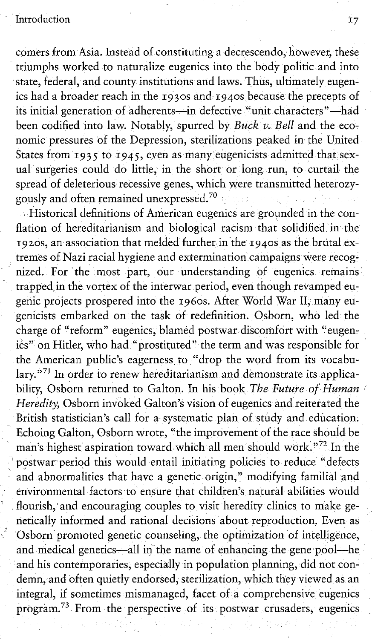.<br>?

comers from Asia. Instead of constituting a decrescendo, however, these triumphs worked to naturalize eugenics into the body politic and into state, federal, and county institutions and laws. Thus, ultimately eugenics had a broader reach in the 1930s and 1940s because the precepts of its initial generation of adherents—in defective "unit characters"—had been codified into law. Notably, spurred by *Buck v. Bell* and the economic pressures of the Depression, sterilizations peaked in the United States from 1935 to 1945, eyen as many eugenicists admitted that sexual surgeries could do little, in the short or long run, to curtail the spread of deleterious recessive genes, which were transmitted heterozygously and often remained unexpressed.<sup>70</sup>

Historical definitions of American eugenics are grounded in the conflation of hereditarianism and biological racism that solidified in the 1920s, an association that melded further in the 1940s as the brutal extremes of Nazi racial hygiene and extermination campaigns were recognized. For the most part, our understanding of eugenics remains trapped in the vortex of the interwar period, even though revamped eugenic projects prospered into the 1960s. After World War II, many eugenicists embarked on the task of redefinition. Osborn, who led the charge of "reform" eugenics, blamed postwar discomfort with "eugenics" on Hitler, who had "prostituted" the term and was responsible for the American public's eagerness to "drop the word from its vocabulary.<sup>"71</sup> In order to renew hereditarianism and demonstrate its applicability, Osborn returned to Galton. In his book *The Future of Human Heredity,* Osborn invoked Galton's vision of eugenics and reiterated the British statistician's call for a systematic plan of study and education. Echoing Galton, Osborn wrote, "the improvement of the race should be man's highest aspiration toward which all men should work."<sup>72</sup> In the postwar period this would entail initiating policies to reduce "defects and abnormalities that have a genetic origin," modifying familial and environmental factors to ensure that children's natural abilities would flourish, and encouraging couples to visit heredity clinics to make genetically informed and rational decisions about reproduction. Even as Osborn promoted genetic counseling, the optimization of intelligence, and medical genetics—all in the name of enhancing the gene pool—he and his contemporaries, especially in population planning, did not condemn, and often quietly endorsed, sterilization, which they viewed as an integral, if sometimes mismanaged, facet of a comprehensive eugenics program. 73 From the perspective of its postwar crusaders, eugenics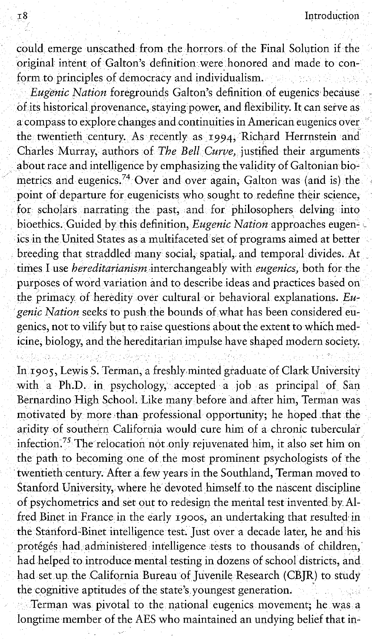could emerge unscathed from the horrors of the Final Solution if the original intent of Galton's definition were honored and made to conform to principles of democracy and individualism.

*Eugenic Nation* foregrounds Galton's definition of eugenics because of its historical provenance, staying power, and flexibility. It can serve as a compass to explore changes and continuities in American eugenics over the twentieth century. As recently as 1994, Richard Herrnstein and Charles Murray, authors of *The Bell Curve3* justified their arguments about race and intelligence by emphasizing the validity of Galtonian biometrics and eugenics.<sup>74</sup> Over and over again, Galton was (and is) the point of departure for eugenicists who sought to redefine their science, for scholars narrating the past, and for philosophers delving into bioethics. Guided by this definition, *Eugenic Nation* approaches eugen- L ics in the United States as a multifaceted set of programs aimed at better breeding that straddled many social, spatial, and temporal divides. At times I use *hereditarianism* interchangeablywith *eugenics,* both for the purposes of word variation and to describe ideas and practices based on the primacy of heredity over cultural or behavioral explanations. *Eugenic Nation* seeks to push the bounds of what has been considered eugenics, not to vilify but to raise questions about the extent to which medicine, biology, and the hereditarian impulse have shaped modern society.

In 1905, Lewis S. Terman, a freshly minted graduate of Clark University with a Ph.D. in psychology, accepted a job as principal of San Bernardino High School. Like many before and after him, Terman was motivated by more than professional opportunity; he hoped that the aridity of southern California would cure him of a chronic tubercular infection.<sup>75</sup> The relocation not only rejuvenated him, it also set him on the path to becoming one of the most prominent psychologists of the twentieth century. After a few years in the Southland, Terman moved to Stanford University, where he devoted himself to the nascent discipline of psychometrics and set out to redesign the mental test invented by Alfred Binet in France in the early 1900s, an undertaking that resulted in the Stanford-Binet intelligence test. Just over a decade later, he and his protégés had administered intelligence tests to thousands of children, had helped to introduce mental testing in dozens of school districts, and had set up the California Bureau of Juvenile Research (CBJR) to study the cognitive aptitudes of the state's youngest generation.

Terman was pivotal to the national eugenics movement; he was a longtime member of the AES who maintained an undying belief that in-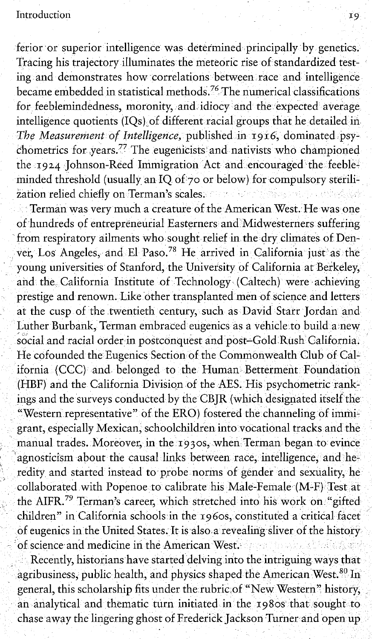#### Introduction **2.5 and 2.5 and 2.5 and 2.5 and 2.5 and 2.5 and 2.5 and 2.5 and 2.5 and 2.5 and 2.5 and 2.5 and 2.5 and 2.5 and 2.5 and 2.5 and 2.5 and 2.5 and 2.5 and 2.5 and 2.5 and 2.5 and 2.5 and 2.5 and 2.5 and 2.5 and**

ferior or superior intelligence was determined principally by genetics. Tracing his trajectory illuminates the meteoric rise of standardized testing and demonstrates how correlations between race and intelligence became embedded in statistical methods.<sup>76</sup> The numerical classifications for feeblemindedness, moronity, and idiocy and the expected average intelligence quotients (IQs) of different racial groups that he detailed in *The Measurement of Intelligence*, published in 1916, dominated psychometrics for years. 77 The eugenicists and nativists who championed the 1924 Johnson-Reed Immigration Act and encouraged the feebleminded threshold (usually an IQ of 70 or below) for compulsory sterilization relied chiefly on Terman's scales. The state of the state of

Terman was very much a creature of the American West. He was one of hundreds of entrepreneurial Easterners and Midwesterners suffering from respiratory ailments who sought relief in the dry climates of Denver, Los Angeles, and El Paso.<sup>78</sup> He arrived in California just as the young universities of Stanford, the University of California at Berkeley, and the California Institute of Technology (Galtech) were achieving prestige and renown. Like other transplanted men of science and letters at the cusp of the twentieth century, such as David Starr Jordan and Luther Burbank, Terman embraced eugenics as a vehicle to build a new social and racial order in postconquest and post-Gold Rush California. He cofounded the Eugenics Section of the Commonwealth Club of California (CCC) and belonged to the Human Betterment Foundation (HBF) and the California Division of the AES. His psychometric rankings and the surveys conducted by the CBJR (which designated itself the "Western representative" of the ERO) fostered the channeling of immigrant, especially Mexican, schoolchildren into vocational tracks and the manual trades. Moreover, in the 1930s, when Terman began to evince agnosticism about the causal links between race, intelligence, and heredity and started instead to probe norms of gender and sexuality, he collaborated with Popenoe to calibrate his Male-Female (M-F) Test at the AIFR.<sup>79</sup> Terman's career, which stretched into his work on. "gifted children" in California schools in the 1960s, constituted a critical facet of eugenics in the United States. It is also a revealing sliver of the history of science and medicine in the American West.

Recently, historians have started delving into the intriguing ways that agribusiness, public health, and physics shaped the American West.<sup>80</sup> In general, this scholarship fits under the rubric of "New Western" history, an analytical and thematic turn initiated in the 1980s that sought to chase away the lingering ghost of Frederick Jackson Turner and open up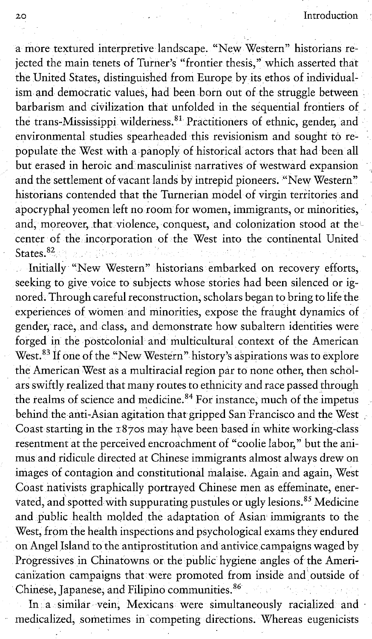#### 20 and 1.8 Introduction and 1.8 Introduction

a more textured interpretive landscape. "New Western" historians rejected the main tenets of Turner's "frontier thesis," which asserted that the United States, distinguished from Europe by its ethos of individualism and democratic values, had been born out of the struggle between barbarism and civilization that unfolded in the sequential frontiers of the trans-Mississippi wilderness. 81 Practitioners of ethnic, gender, and environmental studies spearheaded this revisionism and sought to repopulate the West with a panoply of historical actors that had been all but erased in heroic and masculinist narratives of westward expansion and the settlement of vacant lands by intrepid pioneers. "New Western" historians contended that the Turnerian model of virgin territories and apocryphal yeomen left no room for women, immigrants, or minorities, and, moreover, that violence, conquest, and colonization stood at the center of the incorporation of the West into the continental United States.<sup>82</sup>

Initially "New Western" historians embarked on recovery efforts, seeking to give voice to subjects whose stories had been silenced or ignored. Through careful reconstruction, scholars began to bring to life the experiences of women and minorities, expose the fraught dynamics of gender, race, and class, and demonstrate how subaltern identities were forged in the postcolonial and multicultural context of the American West.<sup>83</sup> If one of the "New Western" history's aspirations was to explore the American West as a multiracial region par to none other, then scholars swiftly realized that many routes to ethnicity and race passed through the realms of science and medicine.<sup>84</sup> For instance, much of the impetus behind the anti-Asian agitation that gripped San Francisco and the West Coast starting in the 1870s may have been based in white working-class resentment at the perceived encroachment of "coolie labor," but the animus and ridicule directed at Chinese immigrants almost always drew on images of contagion and constitutional malaise. Again and again, West Coast nativists graphically portrayed Chinese men as effeminate, enervated, and spotted with suppurating pustules or ugly lesions.<sup>85</sup> Medicine and public health molded the adaptation of Asian immigrants to the West, from the health inspections and psychological exams they endured on Angel Island to the antiprostitution and antivice campaigns waged by Progressives in Chinatowns or the public hygiene angles of the Americanization campaigns that were promoted from inside and outside of Chinese, Japanese, and Filipino communities.<sup>86</sup>

In a similar vein, Mexicans were simultaneously racialized and medicalized, sometimes in competing directions. Whereas eugenicists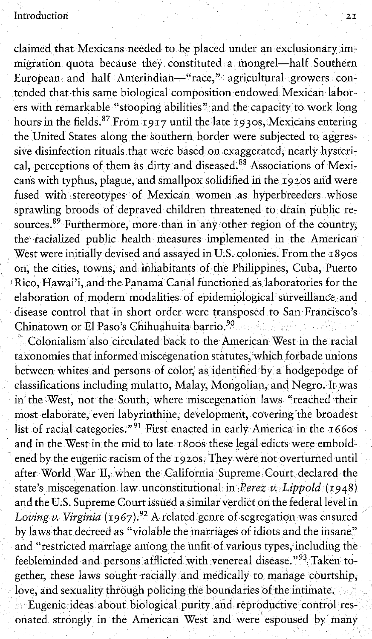claimed that Mexicans needed to be placed under an exclusionary immigration quota because they constituted a mongrel—half Southern European and half Amerindian—"race," agricultural growers contended that this same biological composition endowed Mexican laborers with remarkable "stooping abilities" and the capacity to work long hours in the fields.<sup>87</sup> From 1917 until the late 1930s, Mexicans entering the United States along the southern border were subjected to aggressive disinfection rituals that were based on exaggerated, nearly hysterical, perceptions of them as dirty and diseased.<sup>88</sup> Associations of Mexicans with typhus, plague, and smallpox solidified in the 1920s and were fused with stereotypes of Mexican women as hyperbreeders whose sprawling broods of depraved children threatened to drain public resources.<sup>89</sup> Furthermore, more than in any other region of the country, the<sup>v</sup> racialized public health measures implemented in the American West were initially devised and assayed in U.S. colonies. From the 1890s on, the cities, towns, and inhabitants of the Philippines, Cuba, Puerto Rico, Hawai'i, and the Panama Canal functioned as laboratories for the elaboration of modern modalities of epidemiological surveillance and disease control that in short order were transposed to San Francisco's Chinatown or El Paso's Chihuahuita barrio.<sup>90</sup>

Colonialism also circulated back to the American West in the racial taxonomies that informed miscegenation statutes, which forbade unions between whites and persons of color, as identified by a hodgepodge of classifications including mulatto, Malay, Mongolian, and Negro. It was in the West, not the South, where miscegenation laws "reached their most elaborate, even labyrinthine, development, covering the broadest list of racial categories."<sup>91</sup> First enacted in early America in the 1660s and in the West in the mid to late 1800s these legal edicts were emboldened by the eugenic racism of the 1920s. They were not overturned until after World War II, when the California Supreme Court declared the state's miscegenation law unconstitutional in *Perez v. Lippold* (1948) and the U.S. Supreme Court issued a similar verdict on the federal level in Loving v. Virginia (1967).<sup>92</sup> A related genre of segregation was ensured by laws that decreed as "violable the marriages of idiots and the insane" and "restricted marriage among the unfit of various types, including the feebleminded and persons afflicted with venereal disease."<sup>93</sup> Taken together, these laws sought racially and medically to manage courtship, love, and sexuality through policing the boundaries of the intimate.

Eugenic ideas about biological purity and reproductive control resonated strongly in the American West and were espoused by many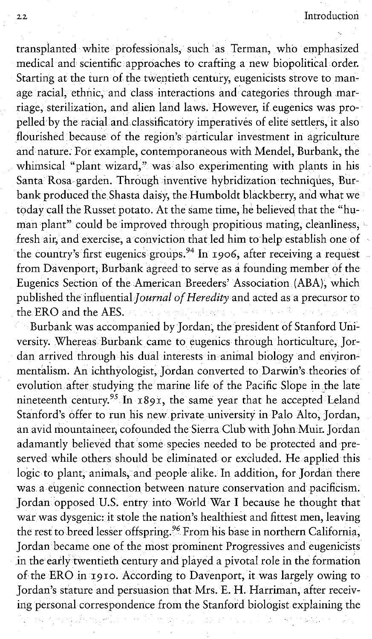transplanted white professionals, such as Terman, who emphasized medical and scientific approaches to crafting a new biopolitical order. Starting at the turn of the twentieth century, eugenicists strove to manage racial, ethnic, and class interactions and categories through marriage, sterilization, and alien land laws. However, if eugenics was propelled by the racial and classificatory imperatives of elite settlers, it also flourished because of the region's particular investment in agriculture and nature. For example, contemporaneous with Mendel, Burbank, the whimsical "plant wizard," was also experimenting with plants in his Santa Rosa garden. Through inventive hybridization techniques, Burbank produced the Shasta daisy, the Humboldt blackberry, and what we today call the Russet potato. At the same time, he believed that the "human plant" could be improved through propitious mating, cleanliness, fresh air, and exercise, a conviction that led him to help establish one of the country's first eugenics groups. 94 In 1906, after receiving a request from Davenport, Burbank agreed to serve as a founding member of the Eugenics Section of the American Breeders' Association (ABA), which published the influential *Journal of Heredity* and acted as a precursor to the ERO and the AES.

Burbank was accompanied by Jordan, the president of Stanford University. Whereas Burbank came to eugenics through horticulture, Jordan arrived through his dual interests in animal biology and environmentalism. An ichthyologist, Jordan converted to Darwin's theories of evolution after studying the marine life of the Pacific Slope in the late nineteenth century.<sup>95</sup> In 1891, the same year that he accepted Leland Stanford's offer to run his new private university in Palo Alto, Jordan, an avid mountaineer, cofounded the Sierra Club with John Muir. Jordan adamantly believed that some species needed to be protected and preserved while others should be eliminated or excluded. He applied this logic to plant, animals, and people alike. In addition, for Jordan there was a eugenic connection between nature conservation and pacificism. Jordan opposed U.S. entry into World War I because he thought that war was dysgenic: it stole the nation's healthiest and fittest men, leaving the rest to breed lesser offspring.?<sup>6</sup> From his base in northern California, Jordan became one of the most prominent Progressives and eugenicists in the early twentieth century and played a pivotal role in the formation of the ERO in 1910. According to Davenport, it was largely owing to Jordan's stature and persuasion that Mrs. E. H. Harriman, after receiving personal correspondence from the Stanford biologist explaining the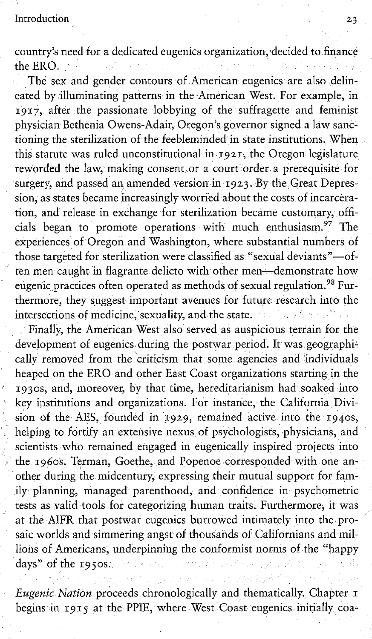country's need for a dedicated eugenics organization, decided to finance the ERO.

The sex and gender contours of American eugenics are also delineated by illuminating patterns in the American West. For example, in 1917, after the passionate lobbying of the suffragette and feminist physician Bethenia Owens-Adair, Oregon's governor signed a law sanctioning the sterilization of the feebleminded in state institutions. When this statute was ruled unconstitutional in 19 21, the Oregon legislature reworded the law, making consent or a court order a prerequisite for surgery, and passed an amended version in 1923. By the Great Depression, as states became increasingly worried about the costs of incarceration, and release in exchange for sterilization became customary, officials began to promote operations with much enthusiasm.<sup>97</sup> The experiences of Oregon and Washington, where substantial numbers of those targeted for sterilization were classified as " sexual deviants "—often men caught in flagrante delicto with other men-demonstrate how eugenic practices often operated as methods of sexual regulation.<sup>98</sup> Furthermore, they suggest important avenues for future research into the intersections of medicine, sexuality, and the state.

Finally, the American West also served as auspicious terrain for the development of eugenics/during the postwar period. It was geographically removed from the criticism that some agencies and individuals heaped on the ERO and other East Goast organizations starting in the 1930s, and, moreover, by that time, hereditarianism had soaked into • key institutions and organizations. For instance, the California Division of the AES, founded in 1929, remained active into the 1940s, helping to fortify an extensive nexus of psychologists, physicians, and scientists who remained engaged in eugenically inspired projects into the 1960s. Terman, Goethe, and Popenoe corresponded with one another during the midcentury, expressing their mutual support for family planning, managed parenthood, and confidence in psychometric tests as valid tools for categorizing human traits. Furthermore, it was at the AIFR that postwar eugenics burrowed intimately into the prosaic worlds and simmering angst of thousands of Californians and millions of Americans, underpinning the conformist norms of the "happy days" of the 1950s.

*Eugenic Nation* proceeds chronologically and thematically. Chapter 1 begins in 1915 at the PPIE, where West Coast eugenics initially coa-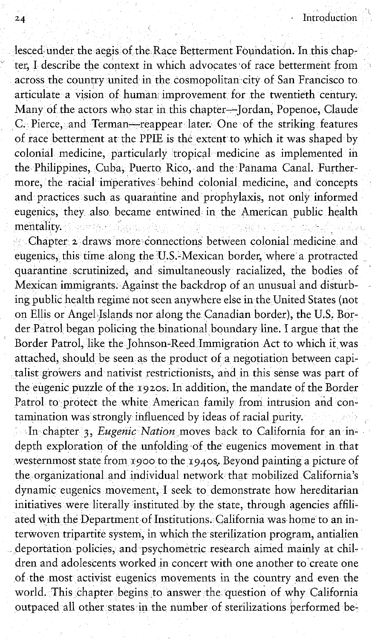lesced under the aegis of the Race Betterment Foundation. In this chapter, I describe the context in which advocates of race betterment from across the country united in the cosmopolitan city of San Francisco to articulate a vision of human, improvement for the twentieth century. Many of the actors who star in this chapter—Jordan, Popenoe, Claude C. Pierce, and Terman—reappear later. One of the striking features of race betterment at the PPIE is the extent to which it was shaped by colonial medicine, particularly tropical medicine as implemented in the Philippines, Cuba, Puerto Rico, and the Panama Canal. Furthermore, the racial imperatives' behind colonial medicine, and concepts and practices such as quarantine and prophylaxis, not only informed eugenics, they also became entwined in the American public health mentality. There is a significant with the

Chapter 2 draws more connections between colonial medicine and eugenics, this time along the U.S.-Mexican border, where a protracted quarantine scrutinized, and simultaneously racialized, the bodies of Mexican immigrants. Against the backdrop of an unusual and disturbing public health regime not seen anywhere else in the United States (not on Ellis or Angel Islands nor along the Canadian border), the U.S. Border Patrol began policing the binational boundary line. I argue that the Border Patrol, like the Johnson-Reed Immigration Act to which it was attached, should be seen as the product of a negotiation between capitalist growers and nativist restrictionists, and in this sense was part of the eugenic puzzle of the 1920s. In addition, the mandate of the Border Patrol to protect the white American family from intrusion and contamination was strongly influenced by ideas of racial purity.

In chapter 3, *Eugenic Nation moves* back to California for an indepth exploration of the unfolding of the eugenics movement in that westernmost state from 1900 to the 1940s,. Beyond painting a picture of the organizational and individual network that mobilized California's dynamic eugenics movement, I seek to demonstrate how hereditarian initiatives were literally instituted by the state, through agencies affiliated with the Department of Institutions. California was home to an interwoven tripartite system, in which the sterilization program, antialien deportation policies, and psychometric research aimed mainly at children and adolescents worked in concert with one another to create one of the most activist eugenics movements in the country and even the world. This chapter begins to answer the question of why California outpaced all other states in the number of sterilizations performed be-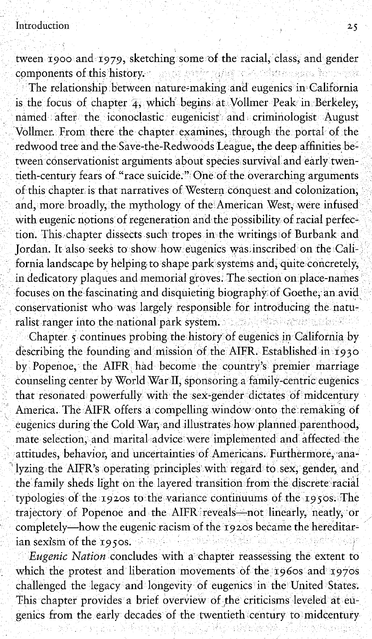tween 1900 and 19 79, sketching some of the racial, class, and gender components of this history. There are a state of the components of this history.

The relationship between nature-making and eugenics in California is the focus of chapter 4, which begins at Vollmer Peak in Berkeley, named after the iconoclastic eugenicist and criminologist August Vollmer. From there the chapter examines, through the portal of the redwood tree and the Save-the-Redwoods League, the deep affinities between conservationist arguments about species survival and early twentieth-century fears of "race suicide." One of the overarching arguments of this chapter is that narratives of Western conquest and colonization, and, more broadly, the mythology of the American West, were infused with eugenic notions of regeneration and the possibility of racial perfection. This chapter dissects such tropes in the writings of Burbank and Jordan. It also seeks to show how eugenics was inscribed on the California landscape by helping to shape park systems andj quite concretely, in dedicatory plaques and memorial groves. The section on place-names focuses on the fascinating and disquieting biography of Goethe, an avid conservationist who was largely responsible for introducing the naturalist ranger into the national park system.

Chapter 5 continues probing the history of eugenics in California by describing the founding and mission of the AIFR. Established in 1930 by Popenoe, the AIFR had become the country's premier marriage counseling center by World War II, sponsoring a family-centric eugenics that resonated powerfully with the sex-gender dictates of midcentury America. The AIFR offers a compelling window onto the remaking of eugenics during the Cold War, and illustrates how planned parenthood, mate selection, and marital advice were implemented and affected the attitudes, behavior, and uncertainties of Americans. Furthermore, analyzing the AIFR's operating principles with regard to sex, gender, and the family sheds light on the layered transition from the discrete racial typologies of the 1920s to the variance continuums of the 1950s. The trajectory of Popenoe and the AIFR reveals—not linearly, neatly, or completely—how the eugenic racism of the 1920s became the hereditarian sexism of the  $1950s$ . Also we have

*Eugenic Nation* concludes with a chapter reassessing the extent to which the protest and liberation movements of the 1960s and 1970s challenged the legacy and longevity of eugenics in the United States. This chapter provides a brief overview of the criticisms leveled at eugenics from the early decades of the twentieth century to midcentury